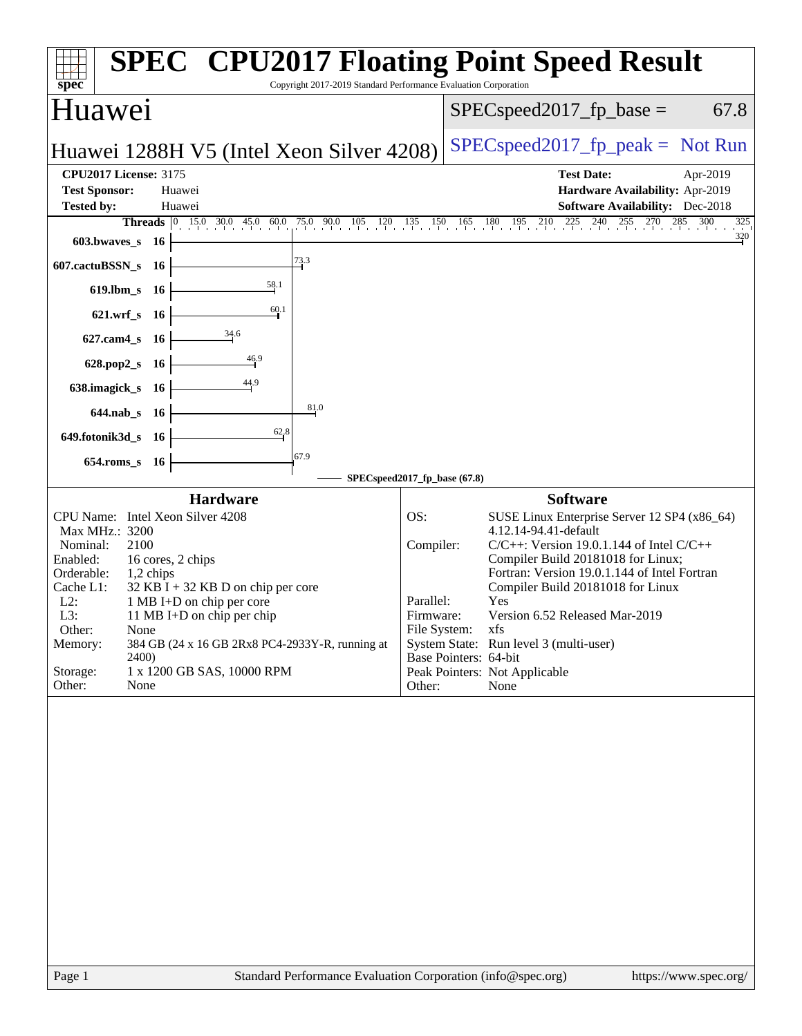| spec <sup>®</sup>                                                                             | <b>SPEC<sup>®</sup></b> CPU2017 Floating Point Speed Result<br>Copyright 2017-2019 Standard Performance Evaluation Corporation |
|-----------------------------------------------------------------------------------------------|--------------------------------------------------------------------------------------------------------------------------------|
| Huawei                                                                                        | $SPEC speed2017fr base =$<br>67.8                                                                                              |
| Huawei 1288H V5 (Intel Xeon Silver 4208)                                                      | $SPEC speed2017_fp\_peak = Not Run$                                                                                            |
| <b>CPU2017 License: 3175</b><br><b>Test Sponsor:</b><br>Huawei<br><b>Tested by:</b><br>Huawei | <b>Test Date:</b><br>Apr-2019<br>Hardware Availability: Apr-2019<br><b>Software Availability:</b> Dec-2018                     |
|                                                                                               | <b>Threads</b> 0 15.0 30.0 45.0 60.0 75.0 90.0 105 120 135 150 165 180 195 210 225 240 255 270 285 300<br>$\frac{325}{1}$      |
| $603.bwaves$ 16                                                                               | 320                                                                                                                            |
| 73.3<br>607.cactuBSSN_s 16                                                                    |                                                                                                                                |
| 58.1<br>619.lbm_s 16                                                                          |                                                                                                                                |
| $\frac{60.1}{ }$<br>621.wrf_s 16                                                              |                                                                                                                                |
| $\frac{34.6}{5}$<br>627.cam4_s 16                                                             |                                                                                                                                |
| $\frac{46.9}{4}$<br>628.pop2_s 16                                                             |                                                                                                                                |
| 638.imagick_s 16                                                                              |                                                                                                                                |
| 81.0<br>644.nab_s 16                                                                          |                                                                                                                                |
| 628<br>649.fotonik3d_s 16                                                                     |                                                                                                                                |
| 67.9<br>654.roms_s 16                                                                         |                                                                                                                                |
|                                                                                               | SPECspeed2017_fp_base (67.8)                                                                                                   |
| Hardware                                                                                      | <b>Software</b>                                                                                                                |
| CPU Name: Intel Xeon Silver 4208<br>Max MHz.: 3200                                            | OS:<br>SUSE Linux Enterprise Server 12 SP4 (x86_64)<br>4.12.14-94.41-default                                                   |
| Nominal:<br>2100                                                                              | Compiler:<br>$C/C++$ : Version 19.0.1.144 of Intel $C/C++$                                                                     |
| Enabled:<br>16 cores, 2 chips                                                                 | Compiler Build 20181018 for Linux;<br>Fortran: Version 19.0.1.144 of Intel Fortran                                             |
| Orderable:<br>$1,2$ chips<br>Cache L1:<br>$32$ KB I + 32 KB D on chip per core                | Compiler Build 20181018 for Linux                                                                                              |
| $L2$ :<br>1 MB I+D on chip per core                                                           | Yes<br>Parallel:                                                                                                               |
| L3:<br>11 MB I+D on chip per chip<br>Other:<br>None                                           | Version 6.52 Released Mar-2019<br>Firmware:<br>File System:<br>xfs                                                             |
| 384 GB (24 x 16 GB 2Rx8 PC4-2933Y-R, running at<br>Memory:                                    | System State: Run level 3 (multi-user)                                                                                         |
| 2400)<br>1 x 1200 GB SAS, 10000 RPM<br>Storage:                                               | Base Pointers: 64-bit                                                                                                          |
| Other:<br>None                                                                                | Peak Pointers: Not Applicable<br>Other:<br>None                                                                                |
|                                                                                               |                                                                                                                                |
| Page 1                                                                                        | Standard Performance Evaluation Corporation (info@spec.org)<br>https://www.spec.org/                                           |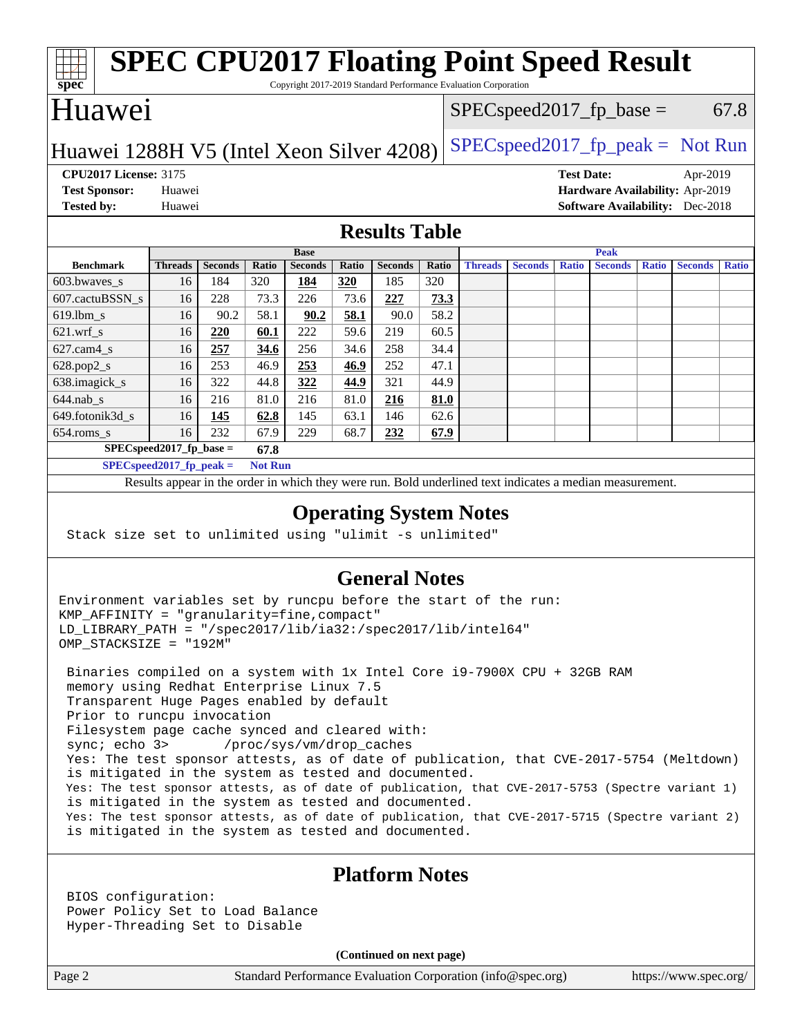#### **[spec](http://www.spec.org/) [SPEC CPU2017 Floating Point Speed Result](http://www.spec.org/auto/cpu2017/Docs/result-fields.html#SPECCPU2017FloatingPointSpeedResult)** Copyright 2017-2019 Standard Performance Evaluation Corporation Huawei Huawei 1288H V5 (Intel Xeon Silver 4208) SPECspeed 2017\_fp\_peak = Not Run  $SPEC speed2017_fp\_base = 67.8$ **[CPU2017 License:](http://www.spec.org/auto/cpu2017/Docs/result-fields.html#CPU2017License)** 3175 **[Test Date:](http://www.spec.org/auto/cpu2017/Docs/result-fields.html#TestDate)** Apr-2019 **[Test Sponsor:](http://www.spec.org/auto/cpu2017/Docs/result-fields.html#TestSponsor)** Huawei **[Hardware Availability:](http://www.spec.org/auto/cpu2017/Docs/result-fields.html#HardwareAvailability)** Apr-2019 **[Tested by:](http://www.spec.org/auto/cpu2017/Docs/result-fields.html#Testedby)** Huawei **[Software Availability:](http://www.spec.org/auto/cpu2017/Docs/result-fields.html#SoftwareAvailability)** Dec-2018 **[Results Table](http://www.spec.org/auto/cpu2017/Docs/result-fields.html#ResultsTable) [Benchmark](http://www.spec.org/auto/cpu2017/Docs/result-fields.html#Benchmark) [Threads](http://www.spec.org/auto/cpu2017/Docs/result-fields.html#Threads) [Seconds](http://www.spec.org/auto/cpu2017/Docs/result-fields.html#Seconds) [Ratio](http://www.spec.org/auto/cpu2017/Docs/result-fields.html#Ratio) [Seconds](http://www.spec.org/auto/cpu2017/Docs/result-fields.html#Seconds) [Ratio](http://www.spec.org/auto/cpu2017/Docs/result-fields.html#Ratio) [Seconds](http://www.spec.org/auto/cpu2017/Docs/result-fields.html#Seconds) [Ratio](http://www.spec.org/auto/cpu2017/Docs/result-fields.html#Ratio) Base [Threads](http://www.spec.org/auto/cpu2017/Docs/result-fields.html#Threads) [Seconds](http://www.spec.org/auto/cpu2017/Docs/result-fields.html#Seconds) [Ratio](http://www.spec.org/auto/cpu2017/Docs/result-fields.html#Ratio) [Seconds](http://www.spec.org/auto/cpu2017/Docs/result-fields.html#Seconds) [Ratio](http://www.spec.org/auto/cpu2017/Docs/result-fields.html#Ratio) [Seconds](http://www.spec.org/auto/cpu2017/Docs/result-fields.html#Seconds) [Ratio](http://www.spec.org/auto/cpu2017/Docs/result-fields.html#Ratio) Peak** [603.bwaves\\_s](http://www.spec.org/auto/cpu2017/Docs/benchmarks/603.bwaves_s.html) 16 184 320 **[184](http://www.spec.org/auto/cpu2017/Docs/result-fields.html#Median) [320](http://www.spec.org/auto/cpu2017/Docs/result-fields.html#Median)** 185 320 [607.cactuBSSN\\_s](http://www.spec.org/auto/cpu2017/Docs/benchmarks/607.cactuBSSN_s.html) 16 228 73.3 226 73.6 **[227](http://www.spec.org/auto/cpu2017/Docs/result-fields.html#Median) [73.3](http://www.spec.org/auto/cpu2017/Docs/result-fields.html#Median)** [619.lbm\\_s](http://www.spec.org/auto/cpu2017/Docs/benchmarks/619.lbm_s.html) 16 90.2 58.1 **[90.2](http://www.spec.org/auto/cpu2017/Docs/result-fields.html#Median) [58.1](http://www.spec.org/auto/cpu2017/Docs/result-fields.html#Median)** 90.0 58.2 [621.wrf\\_s](http://www.spec.org/auto/cpu2017/Docs/benchmarks/621.wrf_s.html) 16 **[220](http://www.spec.org/auto/cpu2017/Docs/result-fields.html#Median) [60.1](http://www.spec.org/auto/cpu2017/Docs/result-fields.html#Median)** 222 59.6 219 60.5 [627.cam4\\_s](http://www.spec.org/auto/cpu2017/Docs/benchmarks/627.cam4_s.html) 16 **[257](http://www.spec.org/auto/cpu2017/Docs/result-fields.html#Median) [34.6](http://www.spec.org/auto/cpu2017/Docs/result-fields.html#Median)** 256 34.6 258 34.4 [628.pop2\\_s](http://www.spec.org/auto/cpu2017/Docs/benchmarks/628.pop2_s.html) 16 253 46.9 **[253](http://www.spec.org/auto/cpu2017/Docs/result-fields.html#Median) [46.9](http://www.spec.org/auto/cpu2017/Docs/result-fields.html#Median)** 252 47.1 [638.imagick\\_s](http://www.spec.org/auto/cpu2017/Docs/benchmarks/638.imagick_s.html) 16 322 44.8 **[322](http://www.spec.org/auto/cpu2017/Docs/result-fields.html#Median) [44.9](http://www.spec.org/auto/cpu2017/Docs/result-fields.html#Median)** 321 44.9 [644.nab\\_s](http://www.spec.org/auto/cpu2017/Docs/benchmarks/644.nab_s.html) 16 216 81.0 216 81.0 **[216](http://www.spec.org/auto/cpu2017/Docs/result-fields.html#Median) [81.0](http://www.spec.org/auto/cpu2017/Docs/result-fields.html#Median)** [649.fotonik3d\\_s](http://www.spec.org/auto/cpu2017/Docs/benchmarks/649.fotonik3d_s.html) 16 **[145](http://www.spec.org/auto/cpu2017/Docs/result-fields.html#Median) [62.8](http://www.spec.org/auto/cpu2017/Docs/result-fields.html#Median)** 145 63.1 146 62.6 [654.roms\\_s](http://www.spec.org/auto/cpu2017/Docs/benchmarks/654.roms_s.html) 16 232 67.9 229 68.7 **[232](http://www.spec.org/auto/cpu2017/Docs/result-fields.html#Median) [67.9](http://www.spec.org/auto/cpu2017/Docs/result-fields.html#Median) [SPECspeed2017\\_fp\\_base =](http://www.spec.org/auto/cpu2017/Docs/result-fields.html#SPECspeed2017fpbase) 67.8 [SPECspeed2017\\_fp\\_peak =](http://www.spec.org/auto/cpu2017/Docs/result-fields.html#SPECspeed2017fppeak) Not Run** Results appear in the [order in which they were run.](http://www.spec.org/auto/cpu2017/Docs/result-fields.html#RunOrder) Bold underlined text [indicates a median measurement](http://www.spec.org/auto/cpu2017/Docs/result-fields.html#Median). **[Operating System Notes](http://www.spec.org/auto/cpu2017/Docs/result-fields.html#OperatingSystemNotes)** Stack size set to unlimited using "ulimit -s unlimited"

## **[General Notes](http://www.spec.org/auto/cpu2017/Docs/result-fields.html#GeneralNotes)**

Environment variables set by runcpu before the start of the run: KMP\_AFFINITY = "granularity=fine,compact" LD\_LIBRARY\_PATH = "/spec2017/lib/ia32:/spec2017/lib/intel64" OMP\_STACKSIZE = "192M"

 Binaries compiled on a system with 1x Intel Core i9-7900X CPU + 32GB RAM memory using Redhat Enterprise Linux 7.5 Transparent Huge Pages enabled by default Prior to runcpu invocation Filesystem page cache synced and cleared with: sync; echo 3> /proc/sys/vm/drop\_caches Yes: The test sponsor attests, as of date of publication, that CVE-2017-5754 (Meltdown) is mitigated in the system as tested and documented. Yes: The test sponsor attests, as of date of publication, that CVE-2017-5753 (Spectre variant 1) is mitigated in the system as tested and documented. Yes: The test sponsor attests, as of date of publication, that CVE-2017-5715 (Spectre variant 2) is mitigated in the system as tested and documented.

## **[Platform Notes](http://www.spec.org/auto/cpu2017/Docs/result-fields.html#PlatformNotes)**

 BIOS configuration: Power Policy Set to Load Balance Hyper-Threading Set to Disable

**(Continued on next page)**

Page 2 Standard Performance Evaluation Corporation [\(info@spec.org\)](mailto:info@spec.org) <https://www.spec.org/>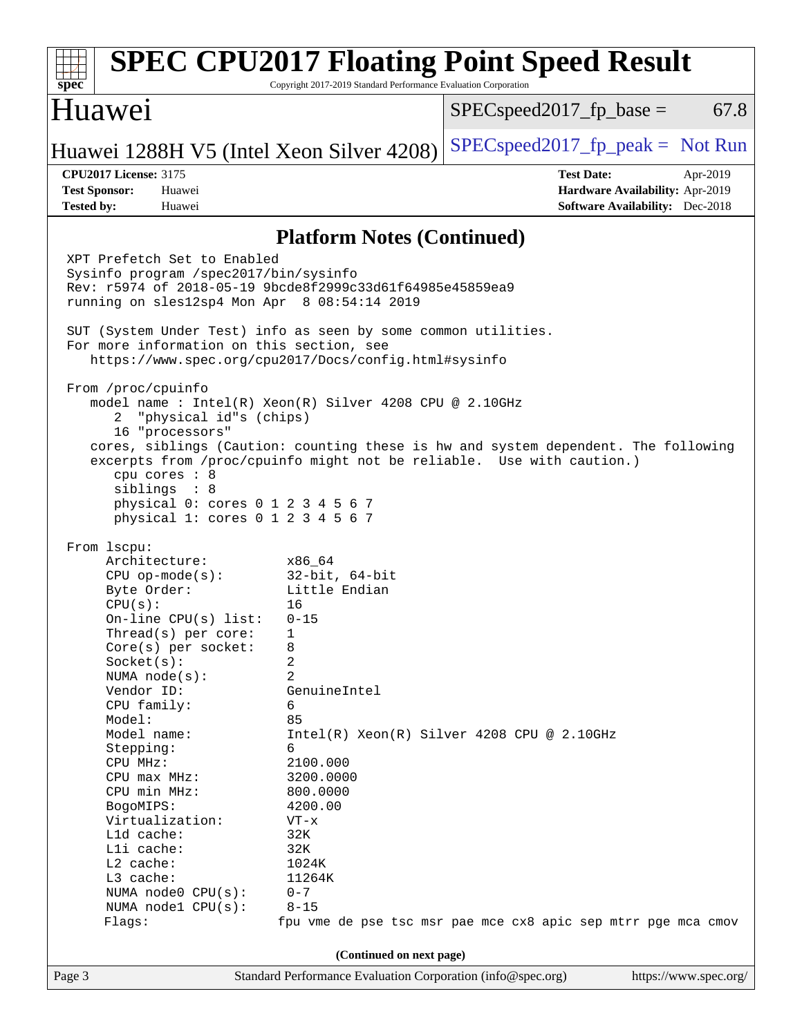| Huawei<br>$SPEC speed2017_fp\_base =$<br>Huawei 1288H V5 (Intel Xeon Silver 4208)<br><b>CPU2017 License: 3175</b><br><b>Test Date:</b><br>Apr-2019<br><b>Test Sponsor:</b><br>Huawei<br>Hardware Availability: Apr-2019<br><b>Software Availability:</b> Dec-2018<br><b>Tested by:</b><br>Huawei<br><b>Platform Notes (Continued)</b><br>XPT Prefetch Set to Enabled<br>Sysinfo program /spec2017/bin/sysinfo<br>Rev: r5974 of 2018-05-19 9bcde8f2999c33d61f64985e45859ea9<br>running on sles12sp4 Mon Apr 8 08:54:14 2019<br>SUT (System Under Test) info as seen by some common utilities.<br>For more information on this section, see<br>https://www.spec.org/cpu2017/Docs/config.html#sysinfo<br>From /proc/cpuinfo<br>model name: $Intel(R)$ Xeon(R) Silver 4208 CPU @ 2.10GHz<br>"physical id"s (chips)<br>2<br>16 "processors"<br>cores, siblings (Caution: counting these is hw and system dependent. The following<br>excerpts from /proc/cpuinfo might not be reliable. Use with caution.)<br>cpu cores : 8<br>siblings : 8<br>physical 0: cores 0 1 2 3 4 5 6 7<br>physical 1: cores 0 1 2 3 4 5 6 7<br>From lscpu:<br>Architecture:<br>x86 64<br>32-bit, 64-bit<br>$CPU$ op-mode( $s$ ):<br>Little Endian<br>Byte Order:<br>CPU(s):<br>16<br>On-line $CPU(s)$ list:<br>$0 - 15$<br>$Thread(s)$ per core:<br>$\overline{1}$<br>Core(s) per socket:<br>8<br>Socket(s):<br>2<br>2<br>NUMA $node(s):$<br>Vendor ID:<br>GenuineIntel<br>CPU family:<br>6<br>Model:<br>85<br>Model name:<br>$Intel(R) Xeon(R) Silver 4208 CPU @ 2.10GHz$<br>6<br>Stepping:<br>CPU MHz:<br>2100.000<br>CPU max MHz:<br>3200.0000<br>CPU min MHz:<br>800.0000<br>BogoMIPS:<br>4200.00<br>Virtualization:<br>$VT - x$<br>L1d cache:<br>32K | spec              | <b>SPEC CPU2017 Floating Point Speed Result</b><br>Copyright 2017-2019 Standard Performance Evaluation Corporation |
|--------------------------------------------------------------------------------------------------------------------------------------------------------------------------------------------------------------------------------------------------------------------------------------------------------------------------------------------------------------------------------------------------------------------------------------------------------------------------------------------------------------------------------------------------------------------------------------------------------------------------------------------------------------------------------------------------------------------------------------------------------------------------------------------------------------------------------------------------------------------------------------------------------------------------------------------------------------------------------------------------------------------------------------------------------------------------------------------------------------------------------------------------------------------------------------------------------------------------------------------------------------------------------------------------------------------------------------------------------------------------------------------------------------------------------------------------------------------------------------------------------------------------------------------------------------------------------------------------------------------------------------------------------------------------------------------------------------------------------|-------------------|--------------------------------------------------------------------------------------------------------------------|
|                                                                                                                                                                                                                                                                                                                                                                                                                                                                                                                                                                                                                                                                                                                                                                                                                                                                                                                                                                                                                                                                                                                                                                                                                                                                                                                                                                                                                                                                                                                                                                                                                                                                                                                                |                   | 67.8                                                                                                               |
|                                                                                                                                                                                                                                                                                                                                                                                                                                                                                                                                                                                                                                                                                                                                                                                                                                                                                                                                                                                                                                                                                                                                                                                                                                                                                                                                                                                                                                                                                                                                                                                                                                                                                                                                |                   | $SPEC speed2017fp peak = Not Run$                                                                                  |
|                                                                                                                                                                                                                                                                                                                                                                                                                                                                                                                                                                                                                                                                                                                                                                                                                                                                                                                                                                                                                                                                                                                                                                                                                                                                                                                                                                                                                                                                                                                                                                                                                                                                                                                                |                   |                                                                                                                    |
|                                                                                                                                                                                                                                                                                                                                                                                                                                                                                                                                                                                                                                                                                                                                                                                                                                                                                                                                                                                                                                                                                                                                                                                                                                                                                                                                                                                                                                                                                                                                                                                                                                                                                                                                |                   |                                                                                                                    |
|                                                                                                                                                                                                                                                                                                                                                                                                                                                                                                                                                                                                                                                                                                                                                                                                                                                                                                                                                                                                                                                                                                                                                                                                                                                                                                                                                                                                                                                                                                                                                                                                                                                                                                                                |                   |                                                                                                                    |
| L2 cache:<br>1024K<br>L3 cache:<br>11264K<br>NUMA node0 CPU(s):<br>$0 - 7$<br>$8 - 15$<br>NUMA nodel CPU(s):<br>Flags:<br>fpu vme de pse tsc msr pae mce cx8 apic sep mtrr pge mca cmov<br>(Continued on next page)                                                                                                                                                                                                                                                                                                                                                                                                                                                                                                                                                                                                                                                                                                                                                                                                                                                                                                                                                                                                                                                                                                                                                                                                                                                                                                                                                                                                                                                                                                            | Lli cache:<br>32K |                                                                                                                    |
| Page 3<br>Standard Performance Evaluation Corporation (info@spec.org)                                                                                                                                                                                                                                                                                                                                                                                                                                                                                                                                                                                                                                                                                                                                                                                                                                                                                                                                                                                                                                                                                                                                                                                                                                                                                                                                                                                                                                                                                                                                                                                                                                                          |                   | https://www.spec.org/                                                                                              |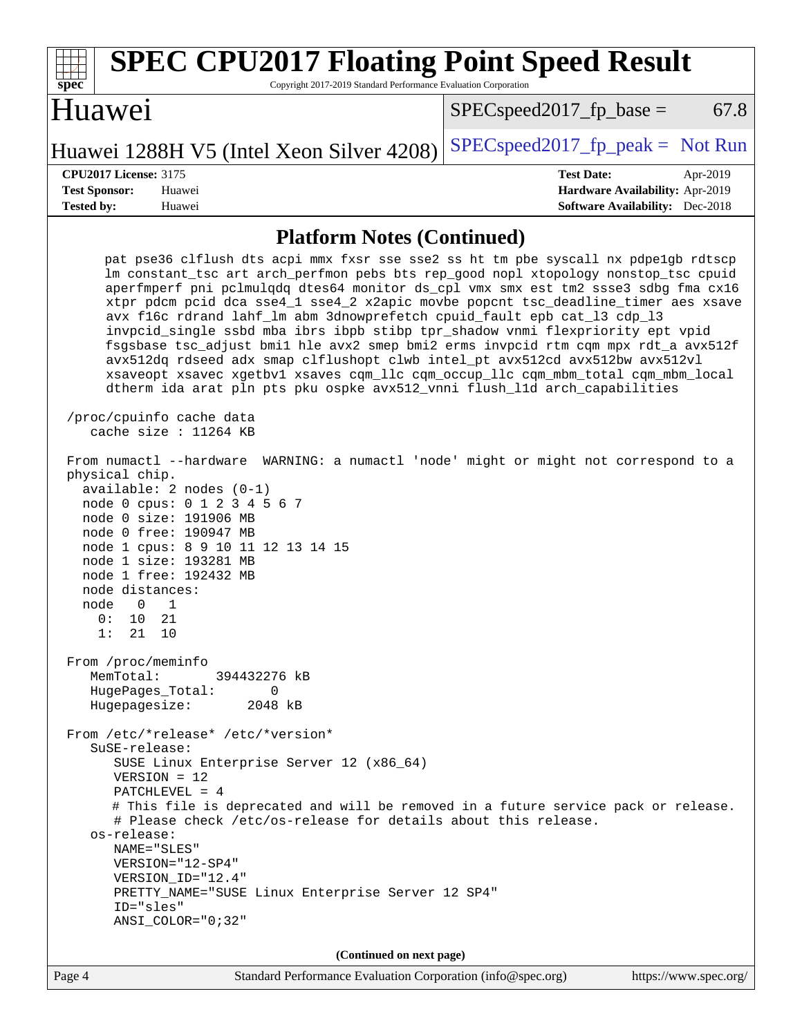| <b>SPEC CPU2017 Floating Point Speed Result</b><br>Copyright 2017-2019 Standard Performance Evaluation Corporation<br>spec <sup>®</sup>                                                                                                                                                                                                                                                                                                                                                                                                                                                                                                                                                                                                                                                                                                                                                                                                                                                                                                                                                                                                                                                                                                                                                                                                                                                                                                                                                                                                                                                                                                                                                                                                                                                                                                                          |                                                                                                            |
|------------------------------------------------------------------------------------------------------------------------------------------------------------------------------------------------------------------------------------------------------------------------------------------------------------------------------------------------------------------------------------------------------------------------------------------------------------------------------------------------------------------------------------------------------------------------------------------------------------------------------------------------------------------------------------------------------------------------------------------------------------------------------------------------------------------------------------------------------------------------------------------------------------------------------------------------------------------------------------------------------------------------------------------------------------------------------------------------------------------------------------------------------------------------------------------------------------------------------------------------------------------------------------------------------------------------------------------------------------------------------------------------------------------------------------------------------------------------------------------------------------------------------------------------------------------------------------------------------------------------------------------------------------------------------------------------------------------------------------------------------------------------------------------------------------------------------------------------------------------|------------------------------------------------------------------------------------------------------------|
| Huawei                                                                                                                                                                                                                                                                                                                                                                                                                                                                                                                                                                                                                                                                                                                                                                                                                                                                                                                                                                                                                                                                                                                                                                                                                                                                                                                                                                                                                                                                                                                                                                                                                                                                                                                                                                                                                                                           | 67.8<br>$SPEC speed2017_fp\_base =$                                                                        |
| Huawei 1288H V5 (Intel Xeon Silver 4208)                                                                                                                                                                                                                                                                                                                                                                                                                                                                                                                                                                                                                                                                                                                                                                                                                                                                                                                                                                                                                                                                                                                                                                                                                                                                                                                                                                                                                                                                                                                                                                                                                                                                                                                                                                                                                         | $SPEC speed2017_fp\_peak = Not Run$                                                                        |
| <b>CPU2017 License: 3175</b><br><b>Test Sponsor:</b><br>Huawei<br><b>Tested by:</b><br>Huawei                                                                                                                                                                                                                                                                                                                                                                                                                                                                                                                                                                                                                                                                                                                                                                                                                                                                                                                                                                                                                                                                                                                                                                                                                                                                                                                                                                                                                                                                                                                                                                                                                                                                                                                                                                    | <b>Test Date:</b><br>Apr-2019<br>Hardware Availability: Apr-2019<br><b>Software Availability:</b> Dec-2018 |
| <b>Platform Notes (Continued)</b>                                                                                                                                                                                                                                                                                                                                                                                                                                                                                                                                                                                                                                                                                                                                                                                                                                                                                                                                                                                                                                                                                                                                                                                                                                                                                                                                                                                                                                                                                                                                                                                                                                                                                                                                                                                                                                |                                                                                                            |
| pat pse36 clflush dts acpi mmx fxsr sse sse2 ss ht tm pbe syscall nx pdpelgb rdtscp<br>lm constant_tsc art arch_perfmon pebs bts rep_good nopl xtopology nonstop_tsc cpuid<br>aperfmperf pni pclmulqdq dtes64 monitor ds_cpl vmx smx est tm2 ssse3 sdbg fma cx16<br>xtpr pdcm pcid dca sse4_1 sse4_2 x2apic movbe popcnt tsc_deadline_timer aes xsave<br>avx f16c rdrand lahf_lm abm 3dnowprefetch cpuid_fault epb cat_13 cdp_13<br>invpcid_single ssbd mba ibrs ibpb stibp tpr_shadow vnmi flexpriority ept vpid<br>fsgsbase tsc_adjust bmil hle avx2 smep bmi2 erms invpcid rtm cqm mpx rdt_a avx512f<br>avx512dq rdseed adx smap clflushopt clwb intel_pt avx512cd avx512bw avx512vl<br>xsaveopt xsavec xgetbvl xsaves cqm_llc cqm_occup_llc cqm_mbm_total cqm_mbm_local<br>dtherm ida arat pln pts pku ospke avx512_vnni flush_lld arch_capabilities<br>/proc/cpuinfo cache data<br>cache size : 11264 KB<br>From numactl --hardware WARNING: a numactl 'node' might or might not correspond to a<br>physical chip.<br>$available: 2 nodes (0-1)$<br>node 0 cpus: 0 1 2 3 4 5 6 7<br>node 0 size: 191906 MB<br>node 0 free: 190947 MB<br>node 1 cpus: 8 9 10 11 12 13 14 15<br>node 1 size: 193281 MB<br>node 1 free: 192432 MB<br>node distances:<br>node<br>0<br>1<br>0 :<br>10<br>21<br>1: 21 10<br>From /proc/meminfo<br>MemTotal:<br>394432276 kB<br>HugePages_Total:<br>$\Omega$<br>Hugepagesize:<br>2048 kB<br>From /etc/*release* /etc/*version*<br>SuSE-release:<br>SUSE Linux Enterprise Server 12 (x86_64)<br>$VERSION = 12$<br>PATCHLEVEL = $4$<br># This file is deprecated and will be removed in a future service pack or release.<br># Please check /etc/os-release for details about this release.<br>os-release:<br>NAME="SLES"<br>VERSION="12-SP4"<br>VERSION_ID="12.4"<br>PRETTY_NAME="SUSE Linux Enterprise Server 12 SP4"<br>ID="sles" |                                                                                                            |
| $ANSI$ _COLOR=" $0:32$ "                                                                                                                                                                                                                                                                                                                                                                                                                                                                                                                                                                                                                                                                                                                                                                                                                                                                                                                                                                                                                                                                                                                                                                                                                                                                                                                                                                                                                                                                                                                                                                                                                                                                                                                                                                                                                                         |                                                                                                            |
| (Continued on next page)                                                                                                                                                                                                                                                                                                                                                                                                                                                                                                                                                                                                                                                                                                                                                                                                                                                                                                                                                                                                                                                                                                                                                                                                                                                                                                                                                                                                                                                                                                                                                                                                                                                                                                                                                                                                                                         | $\ldots$                                                                                                   |

Page 4 Standard Performance Evaluation Corporation [\(info@spec.org\)](mailto:info@spec.org) <https://www.spec.org/>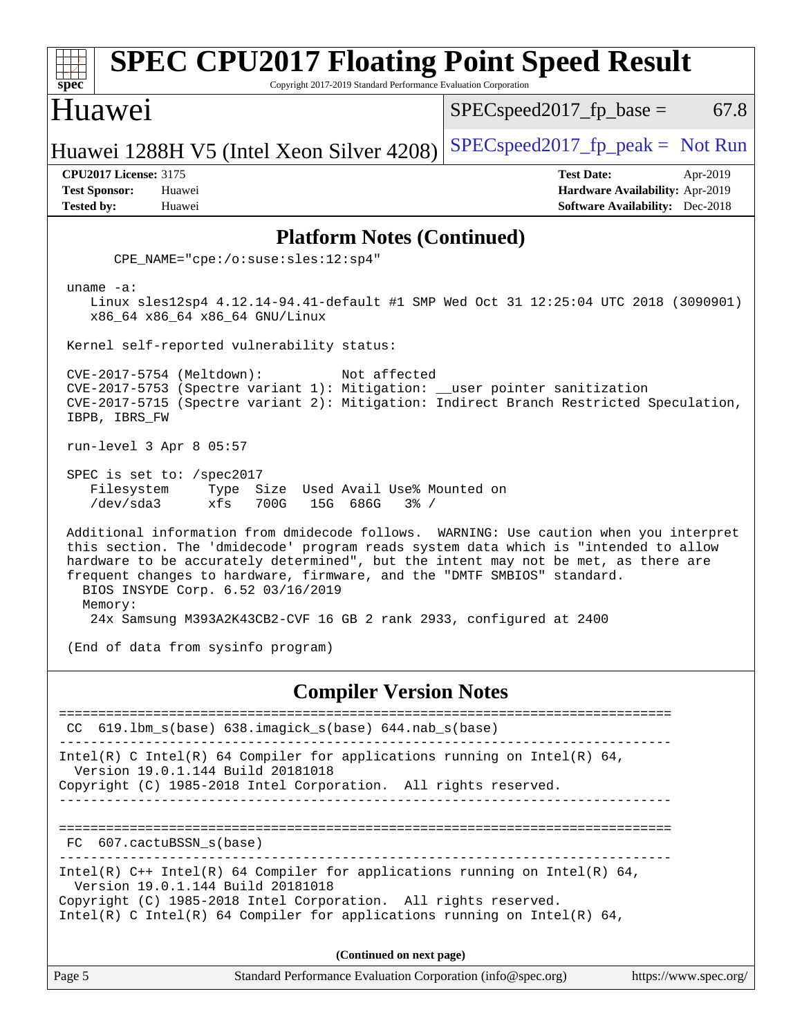| <b>SPEC CPU2017 Floating Point Speed Result</b><br>Spec<br>Copyright 2017-2019 Standard Performance Evaluation Corporation                                                                                                                                                                                                                                                                     |                                                                                                            |  |  |
|------------------------------------------------------------------------------------------------------------------------------------------------------------------------------------------------------------------------------------------------------------------------------------------------------------------------------------------------------------------------------------------------|------------------------------------------------------------------------------------------------------------|--|--|
| Huawei                                                                                                                                                                                                                                                                                                                                                                                         | $SPEC speed2017_fp\_base =$<br>67.8                                                                        |  |  |
| Huawei 1288H V5 (Intel Xeon Silver 4208)                                                                                                                                                                                                                                                                                                                                                       | $SPEC speed2017fr peak = Not Run$                                                                          |  |  |
| <b>CPU2017 License: 3175</b><br><b>Test Sponsor:</b><br>Huawei<br><b>Tested by:</b><br>Huawei                                                                                                                                                                                                                                                                                                  | <b>Test Date:</b><br>Apr-2019<br>Hardware Availability: Apr-2019<br><b>Software Availability:</b> Dec-2018 |  |  |
| <b>Platform Notes (Continued)</b>                                                                                                                                                                                                                                                                                                                                                              |                                                                                                            |  |  |
| $CPE\_NAME = "cpe://o:suse: sles:12:sp4"$                                                                                                                                                                                                                                                                                                                                                      |                                                                                                            |  |  |
| uname $-a$ :<br>Linux sles12sp4 4.12.14-94.41-default #1 SMP Wed Oct 31 12:25:04 UTC 2018 (3090901)<br>x86_64 x86_64 x86_64 GNU/Linux                                                                                                                                                                                                                                                          |                                                                                                            |  |  |
| Kernel self-reported vulnerability status:                                                                                                                                                                                                                                                                                                                                                     |                                                                                                            |  |  |
| CVE-2017-5754 (Meltdown):<br>Not affected<br>CVE-2017-5753 (Spectre variant 1): Mitigation: __user pointer sanitization<br>CVE-2017-5715 (Spectre variant 2): Mitigation: Indirect Branch Restricted Speculation,<br>IBPB, IBRS FW                                                                                                                                                             |                                                                                                            |  |  |
| run-level 3 Apr 8 05:57                                                                                                                                                                                                                                                                                                                                                                        |                                                                                                            |  |  |
| SPEC is set to: /spec2017<br>Size Used Avail Use% Mounted on<br>Filesystem<br>Type<br>/dev/sda3<br>xfs<br>700G<br>15G 686G<br>$3\frac{6}{9}$ /                                                                                                                                                                                                                                                 |                                                                                                            |  |  |
| Additional information from dmidecode follows. WARNING: Use caution when you interpret<br>this section. The 'dmidecode' program reads system data which is "intended to allow<br>hardware to be accurately determined", but the intent may not be met, as there are<br>frequent changes to hardware, firmware, and the "DMTF SMBIOS" standard.<br>BIOS INSYDE Corp. 6.52 03/16/2019<br>Memory: |                                                                                                            |  |  |
| 24x Samsung M393A2K43CB2-CVF 16 GB 2 rank 2933, configured at 2400                                                                                                                                                                                                                                                                                                                             |                                                                                                            |  |  |
| (End of data from sysinfo program)                                                                                                                                                                                                                                                                                                                                                             |                                                                                                            |  |  |
| <b>Compiler Version Notes</b>                                                                                                                                                                                                                                                                                                                                                                  |                                                                                                            |  |  |
| 619.1bm_s(base) 638.imagick_s(base) 644.nab_s(base)<br>CC.                                                                                                                                                                                                                                                                                                                                     | ------------------------                                                                                   |  |  |
| Intel(R) C Intel(R) 64 Compiler for applications running on Intel(R) 64,<br>Version 19.0.1.144 Build 20181018<br>Copyright (C) 1985-2018 Intel Corporation. All rights reserved.                                                                                                                                                                                                               |                                                                                                            |  |  |
| -------                                                                                                                                                                                                                                                                                                                                                                                        |                                                                                                            |  |  |
| FC 607.cactuBSSN_s(base)                                                                                                                                                                                                                                                                                                                                                                       |                                                                                                            |  |  |
| Intel(R) $C++$ Intel(R) 64 Compiler for applications running on Intel(R) 64,<br>Version 19.0.1.144 Build 20181018                                                                                                                                                                                                                                                                              |                                                                                                            |  |  |
| Copyright (C) 1985-2018 Intel Corporation. All rights reserved.<br>Intel(R) C Intel(R) 64 Compiler for applications running on Intel(R) 64,                                                                                                                                                                                                                                                    |                                                                                                            |  |  |
| (Continued on next page)                                                                                                                                                                                                                                                                                                                                                                       |                                                                                                            |  |  |
| Page 5<br>Standard Performance Evaluation Corporation (info@spec.org)                                                                                                                                                                                                                                                                                                                          | https://www.spec.org/                                                                                      |  |  |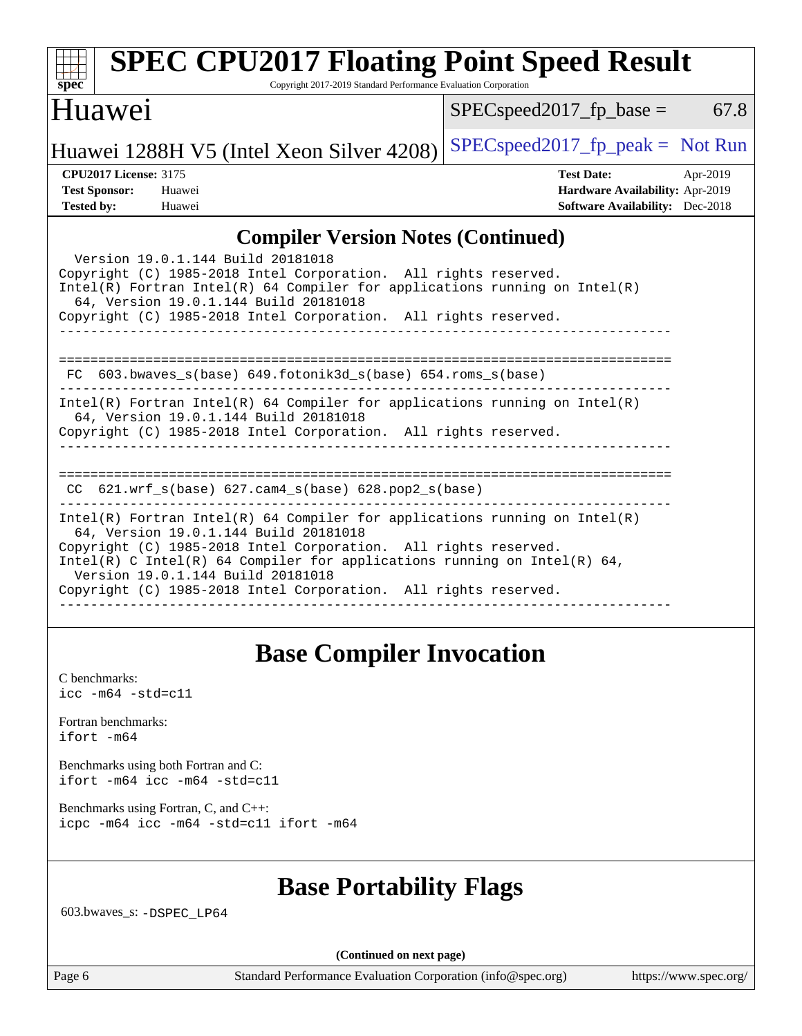| <b>SPEC CPU2017 Floating Point Speed Result</b><br>Copyright 2017-2019 Standard Performance Evaluation Corporation<br>spec <sup>®</sup>                                                                                                                                                                                                                                                                                                                                                                                                                                                                   |                                                                                                            |
|-----------------------------------------------------------------------------------------------------------------------------------------------------------------------------------------------------------------------------------------------------------------------------------------------------------------------------------------------------------------------------------------------------------------------------------------------------------------------------------------------------------------------------------------------------------------------------------------------------------|------------------------------------------------------------------------------------------------------------|
| Huawei                                                                                                                                                                                                                                                                                                                                                                                                                                                                                                                                                                                                    | 67.8<br>$SPEC speed2017$ fp base =                                                                         |
| Huawei 1288H V5 (Intel Xeon Silver 4208)                                                                                                                                                                                                                                                                                                                                                                                                                                                                                                                                                                  | $SPEC speed2017fr peak = Not Run$                                                                          |
| <b>CPU2017 License: 3175</b><br><b>Test Sponsor:</b><br>Huawei<br><b>Tested by:</b><br>Huawei                                                                                                                                                                                                                                                                                                                                                                                                                                                                                                             | <b>Test Date:</b><br>Apr-2019<br>Hardware Availability: Apr-2019<br><b>Software Availability:</b> Dec-2018 |
| <b>Compiler Version Notes (Continued)</b><br>Version 19.0.1.144 Build 20181018<br>Copyright (C) 1985-2018 Intel Corporation. All rights reserved.<br>$Intel(R)$ Fortran Intel(R) 64 Compiler for applications running on Intel(R)<br>64, Version 19.0.1.144 Build 20181018<br>Copyright (C) 1985-2018 Intel Corporation. All rights reserved.<br>FC 603.bwaves_s(base) 649.fotonik3d_s(base) 654.roms_s(base)<br>$Intel(R)$ Fortran Intel(R) 64 Compiler for applications running on Intel(R)<br>64, Version 19.0.1.144 Build 20181018<br>Copyright (C) 1985-2018 Intel Corporation. All rights reserved. |                                                                                                            |
| $CC$ 621.wrf_s(base) 627.cam4_s(base) 628.pop2_s(base)<br>$Intel(R)$ Fortran Intel(R) 64 Compiler for applications running on Intel(R)<br>64, Version 19.0.1.144 Build 20181018<br>Copyright (C) 1985-2018 Intel Corporation. All rights reserved.<br>Intel(R) C Intel(R) 64 Compiler for applications running on Intel(R) 64,<br>Version 19.0.1.144 Build 20181018<br>Copyright (C) 1985-2018 Intel Corporation. All rights reserved.<br>__________________________________                                                                                                                              |                                                                                                            |

# **[Base Compiler Invocation](http://www.spec.org/auto/cpu2017/Docs/result-fields.html#BaseCompilerInvocation)**

[C benchmarks](http://www.spec.org/auto/cpu2017/Docs/result-fields.html#Cbenchmarks): [icc -m64 -std=c11](http://www.spec.org/cpu2017/results/res2019q2/cpu2017-20190428-12567.flags.html#user_CCbase_intel_icc_64bit_c11_33ee0cdaae7deeeab2a9725423ba97205ce30f63b9926c2519791662299b76a0318f32ddfffdc46587804de3178b4f9328c46fa7c2b0cd779d7a61945c91cd35)

[Fortran benchmarks](http://www.spec.org/auto/cpu2017/Docs/result-fields.html#Fortranbenchmarks): [ifort -m64](http://www.spec.org/cpu2017/results/res2019q2/cpu2017-20190428-12567.flags.html#user_FCbase_intel_ifort_64bit_24f2bb282fbaeffd6157abe4f878425411749daecae9a33200eee2bee2fe76f3b89351d69a8130dd5949958ce389cf37ff59a95e7a40d588e8d3a57e0c3fd751)

[Benchmarks using both Fortran and C](http://www.spec.org/auto/cpu2017/Docs/result-fields.html#BenchmarksusingbothFortranandC): [ifort -m64](http://www.spec.org/cpu2017/results/res2019q2/cpu2017-20190428-12567.flags.html#user_CC_FCbase_intel_ifort_64bit_24f2bb282fbaeffd6157abe4f878425411749daecae9a33200eee2bee2fe76f3b89351d69a8130dd5949958ce389cf37ff59a95e7a40d588e8d3a57e0c3fd751) [icc -m64 -std=c11](http://www.spec.org/cpu2017/results/res2019q2/cpu2017-20190428-12567.flags.html#user_CC_FCbase_intel_icc_64bit_c11_33ee0cdaae7deeeab2a9725423ba97205ce30f63b9926c2519791662299b76a0318f32ddfffdc46587804de3178b4f9328c46fa7c2b0cd779d7a61945c91cd35)

[Benchmarks using Fortran, C, and C++:](http://www.spec.org/auto/cpu2017/Docs/result-fields.html#BenchmarksusingFortranCandCXX) [icpc -m64](http://www.spec.org/cpu2017/results/res2019q2/cpu2017-20190428-12567.flags.html#user_CC_CXX_FCbase_intel_icpc_64bit_4ecb2543ae3f1412ef961e0650ca070fec7b7afdcd6ed48761b84423119d1bf6bdf5cad15b44d48e7256388bc77273b966e5eb805aefd121eb22e9299b2ec9d9) [icc -m64 -std=c11](http://www.spec.org/cpu2017/results/res2019q2/cpu2017-20190428-12567.flags.html#user_CC_CXX_FCbase_intel_icc_64bit_c11_33ee0cdaae7deeeab2a9725423ba97205ce30f63b9926c2519791662299b76a0318f32ddfffdc46587804de3178b4f9328c46fa7c2b0cd779d7a61945c91cd35) [ifort -m64](http://www.spec.org/cpu2017/results/res2019q2/cpu2017-20190428-12567.flags.html#user_CC_CXX_FCbase_intel_ifort_64bit_24f2bb282fbaeffd6157abe4f878425411749daecae9a33200eee2bee2fe76f3b89351d69a8130dd5949958ce389cf37ff59a95e7a40d588e8d3a57e0c3fd751)

## **[Base Portability Flags](http://www.spec.org/auto/cpu2017/Docs/result-fields.html#BasePortabilityFlags)**

603.bwaves\_s: [-DSPEC\\_LP64](http://www.spec.org/cpu2017/results/res2019q2/cpu2017-20190428-12567.flags.html#suite_basePORTABILITY603_bwaves_s_DSPEC_LP64)

**(Continued on next page)**

Page 6 Standard Performance Evaluation Corporation [\(info@spec.org\)](mailto:info@spec.org) <https://www.spec.org/>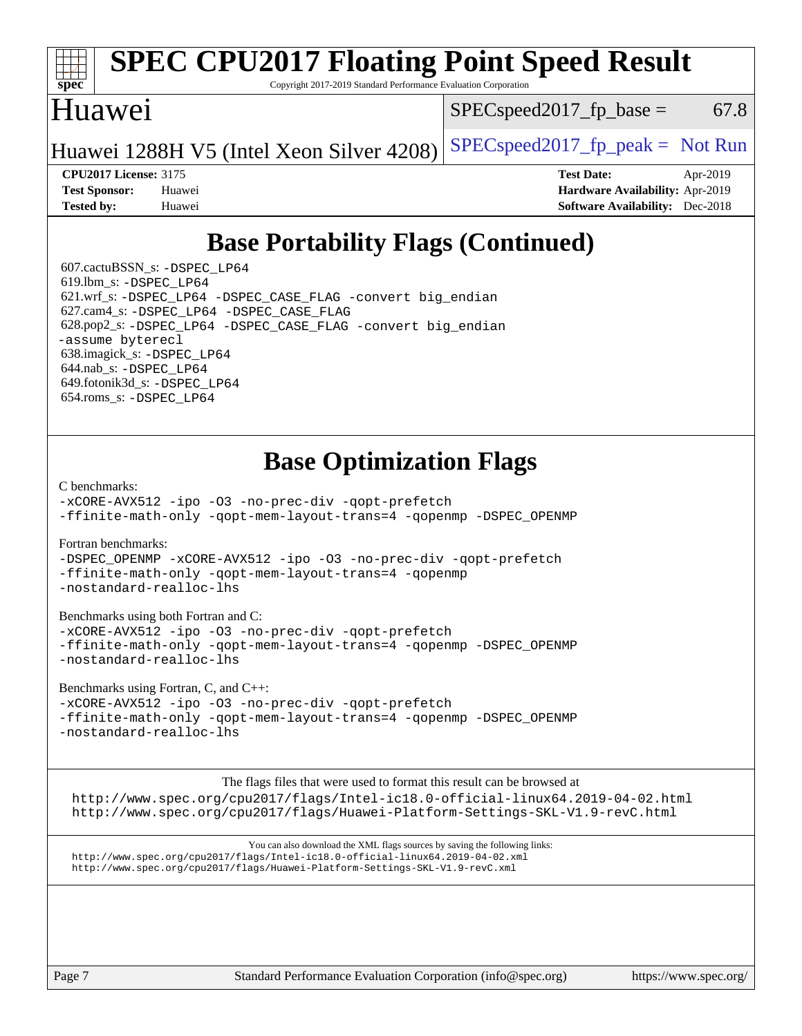### **[spec](http://www.spec.org/) [SPEC CPU2017 Floating Point Speed Result](http://www.spec.org/auto/cpu2017/Docs/result-fields.html#SPECCPU2017FloatingPointSpeedResult)** Copyright 2017-2019 Standard Performance Evaluation Corporation Huawei Huawei 1288H V5 (Intel Xeon Silver 4208) SPECspeed 2017\_fp\_peak = Not Run  $SPEC speed2017_fp\_base = 67.8$

**[CPU2017 License:](http://www.spec.org/auto/cpu2017/Docs/result-fields.html#CPU2017License)** 3175 **[Test Date:](http://www.spec.org/auto/cpu2017/Docs/result-fields.html#TestDate)** Apr-2019 **[Test Sponsor:](http://www.spec.org/auto/cpu2017/Docs/result-fields.html#TestSponsor)** Huawei **[Hardware Availability:](http://www.spec.org/auto/cpu2017/Docs/result-fields.html#HardwareAvailability)** Apr-2019 **[Tested by:](http://www.spec.org/auto/cpu2017/Docs/result-fields.html#Testedby)** Huawei **[Software Availability:](http://www.spec.org/auto/cpu2017/Docs/result-fields.html#SoftwareAvailability)** Dec-2018

# **[Base Portability Flags \(Continued\)](http://www.spec.org/auto/cpu2017/Docs/result-fields.html#BasePortabilityFlags)**

 607.cactuBSSN\_s: [-DSPEC\\_LP64](http://www.spec.org/cpu2017/results/res2019q2/cpu2017-20190428-12567.flags.html#suite_basePORTABILITY607_cactuBSSN_s_DSPEC_LP64) 619.lbm\_s: [-DSPEC\\_LP64](http://www.spec.org/cpu2017/results/res2019q2/cpu2017-20190428-12567.flags.html#suite_basePORTABILITY619_lbm_s_DSPEC_LP64) 621.wrf\_s: [-DSPEC\\_LP64](http://www.spec.org/cpu2017/results/res2019q2/cpu2017-20190428-12567.flags.html#suite_basePORTABILITY621_wrf_s_DSPEC_LP64) [-DSPEC\\_CASE\\_FLAG](http://www.spec.org/cpu2017/results/res2019q2/cpu2017-20190428-12567.flags.html#b621.wrf_s_baseCPORTABILITY_DSPEC_CASE_FLAG) [-convert big\\_endian](http://www.spec.org/cpu2017/results/res2019q2/cpu2017-20190428-12567.flags.html#user_baseFPORTABILITY621_wrf_s_convert_big_endian_c3194028bc08c63ac5d04de18c48ce6d347e4e562e8892b8bdbdc0214820426deb8554edfa529a3fb25a586e65a3d812c835984020483e7e73212c4d31a38223) 627.cam4\_s: [-DSPEC\\_LP64](http://www.spec.org/cpu2017/results/res2019q2/cpu2017-20190428-12567.flags.html#suite_basePORTABILITY627_cam4_s_DSPEC_LP64) [-DSPEC\\_CASE\\_FLAG](http://www.spec.org/cpu2017/results/res2019q2/cpu2017-20190428-12567.flags.html#b627.cam4_s_baseCPORTABILITY_DSPEC_CASE_FLAG) 628.pop2\_s: [-DSPEC\\_LP64](http://www.spec.org/cpu2017/results/res2019q2/cpu2017-20190428-12567.flags.html#suite_basePORTABILITY628_pop2_s_DSPEC_LP64) [-DSPEC\\_CASE\\_FLAG](http://www.spec.org/cpu2017/results/res2019q2/cpu2017-20190428-12567.flags.html#b628.pop2_s_baseCPORTABILITY_DSPEC_CASE_FLAG) [-convert big\\_endian](http://www.spec.org/cpu2017/results/res2019q2/cpu2017-20190428-12567.flags.html#user_baseFPORTABILITY628_pop2_s_convert_big_endian_c3194028bc08c63ac5d04de18c48ce6d347e4e562e8892b8bdbdc0214820426deb8554edfa529a3fb25a586e65a3d812c835984020483e7e73212c4d31a38223) [-assume byterecl](http://www.spec.org/cpu2017/results/res2019q2/cpu2017-20190428-12567.flags.html#user_baseFPORTABILITY628_pop2_s_assume_byterecl_7e47d18b9513cf18525430bbf0f2177aa9bf368bc7a059c09b2c06a34b53bd3447c950d3f8d6c70e3faf3a05c8557d66a5798b567902e8849adc142926523472) 638.imagick\_s: [-DSPEC\\_LP64](http://www.spec.org/cpu2017/results/res2019q2/cpu2017-20190428-12567.flags.html#suite_basePORTABILITY638_imagick_s_DSPEC_LP64) 644.nab\_s: [-DSPEC\\_LP64](http://www.spec.org/cpu2017/results/res2019q2/cpu2017-20190428-12567.flags.html#suite_basePORTABILITY644_nab_s_DSPEC_LP64) 649.fotonik3d\_s: [-DSPEC\\_LP64](http://www.spec.org/cpu2017/results/res2019q2/cpu2017-20190428-12567.flags.html#suite_basePORTABILITY649_fotonik3d_s_DSPEC_LP64) 654.roms\_s: [-DSPEC\\_LP64](http://www.spec.org/cpu2017/results/res2019q2/cpu2017-20190428-12567.flags.html#suite_basePORTABILITY654_roms_s_DSPEC_LP64)

# **[Base Optimization Flags](http://www.spec.org/auto/cpu2017/Docs/result-fields.html#BaseOptimizationFlags)**

[C benchmarks](http://www.spec.org/auto/cpu2017/Docs/result-fields.html#Cbenchmarks):

[-xCORE-AVX512](http://www.spec.org/cpu2017/results/res2019q2/cpu2017-20190428-12567.flags.html#user_CCbase_f-xCORE-AVX512) [-ipo](http://www.spec.org/cpu2017/results/res2019q2/cpu2017-20190428-12567.flags.html#user_CCbase_f-ipo) [-O3](http://www.spec.org/cpu2017/results/res2019q2/cpu2017-20190428-12567.flags.html#user_CCbase_f-O3) [-no-prec-div](http://www.spec.org/cpu2017/results/res2019q2/cpu2017-20190428-12567.flags.html#user_CCbase_f-no-prec-div) [-qopt-prefetch](http://www.spec.org/cpu2017/results/res2019q2/cpu2017-20190428-12567.flags.html#user_CCbase_f-qopt-prefetch) [-ffinite-math-only](http://www.spec.org/cpu2017/results/res2019q2/cpu2017-20190428-12567.flags.html#user_CCbase_f_finite_math_only_cb91587bd2077682c4b38af759c288ed7c732db004271a9512da14a4f8007909a5f1427ecbf1a0fb78ff2a814402c6114ac565ca162485bbcae155b5e4258871) [-qopt-mem-layout-trans=4](http://www.spec.org/cpu2017/results/res2019q2/cpu2017-20190428-12567.flags.html#user_CCbase_f-qopt-mem-layout-trans_fa39e755916c150a61361b7846f310bcdf6f04e385ef281cadf3647acec3f0ae266d1a1d22d972a7087a248fd4e6ca390a3634700869573d231a252c784941a8) [-qopenmp](http://www.spec.org/cpu2017/results/res2019q2/cpu2017-20190428-12567.flags.html#user_CCbase_qopenmp_16be0c44f24f464004c6784a7acb94aca937f053568ce72f94b139a11c7c168634a55f6653758ddd83bcf7b8463e8028bb0b48b77bcddc6b78d5d95bb1df2967) [-DSPEC\\_OPENMP](http://www.spec.org/cpu2017/results/res2019q2/cpu2017-20190428-12567.flags.html#suite_CCbase_DSPEC_OPENMP)

[Fortran benchmarks](http://www.spec.org/auto/cpu2017/Docs/result-fields.html#Fortranbenchmarks):

[-DSPEC\\_OPENMP](http://www.spec.org/cpu2017/results/res2019q2/cpu2017-20190428-12567.flags.html#suite_FCbase_DSPEC_OPENMP) [-xCORE-AVX512](http://www.spec.org/cpu2017/results/res2019q2/cpu2017-20190428-12567.flags.html#user_FCbase_f-xCORE-AVX512) [-ipo](http://www.spec.org/cpu2017/results/res2019q2/cpu2017-20190428-12567.flags.html#user_FCbase_f-ipo) [-O3](http://www.spec.org/cpu2017/results/res2019q2/cpu2017-20190428-12567.flags.html#user_FCbase_f-O3) [-no-prec-div](http://www.spec.org/cpu2017/results/res2019q2/cpu2017-20190428-12567.flags.html#user_FCbase_f-no-prec-div) [-qopt-prefetch](http://www.spec.org/cpu2017/results/res2019q2/cpu2017-20190428-12567.flags.html#user_FCbase_f-qopt-prefetch) [-ffinite-math-only](http://www.spec.org/cpu2017/results/res2019q2/cpu2017-20190428-12567.flags.html#user_FCbase_f_finite_math_only_cb91587bd2077682c4b38af759c288ed7c732db004271a9512da14a4f8007909a5f1427ecbf1a0fb78ff2a814402c6114ac565ca162485bbcae155b5e4258871) [-qopt-mem-layout-trans=4](http://www.spec.org/cpu2017/results/res2019q2/cpu2017-20190428-12567.flags.html#user_FCbase_f-qopt-mem-layout-trans_fa39e755916c150a61361b7846f310bcdf6f04e385ef281cadf3647acec3f0ae266d1a1d22d972a7087a248fd4e6ca390a3634700869573d231a252c784941a8) [-qopenmp](http://www.spec.org/cpu2017/results/res2019q2/cpu2017-20190428-12567.flags.html#user_FCbase_qopenmp_16be0c44f24f464004c6784a7acb94aca937f053568ce72f94b139a11c7c168634a55f6653758ddd83bcf7b8463e8028bb0b48b77bcddc6b78d5d95bb1df2967) [-nostandard-realloc-lhs](http://www.spec.org/cpu2017/results/res2019q2/cpu2017-20190428-12567.flags.html#user_FCbase_f_2003_std_realloc_82b4557e90729c0f113870c07e44d33d6f5a304b4f63d4c15d2d0f1fab99f5daaed73bdb9275d9ae411527f28b936061aa8b9c8f2d63842963b95c9dd6426b8a)

[Benchmarks using both Fortran and C](http://www.spec.org/auto/cpu2017/Docs/result-fields.html#BenchmarksusingbothFortranandC):

[-xCORE-AVX512](http://www.spec.org/cpu2017/results/res2019q2/cpu2017-20190428-12567.flags.html#user_CC_FCbase_f-xCORE-AVX512) [-ipo](http://www.spec.org/cpu2017/results/res2019q2/cpu2017-20190428-12567.flags.html#user_CC_FCbase_f-ipo) [-O3](http://www.spec.org/cpu2017/results/res2019q2/cpu2017-20190428-12567.flags.html#user_CC_FCbase_f-O3) [-no-prec-div](http://www.spec.org/cpu2017/results/res2019q2/cpu2017-20190428-12567.flags.html#user_CC_FCbase_f-no-prec-div) [-qopt-prefetch](http://www.spec.org/cpu2017/results/res2019q2/cpu2017-20190428-12567.flags.html#user_CC_FCbase_f-qopt-prefetch) [-ffinite-math-only](http://www.spec.org/cpu2017/results/res2019q2/cpu2017-20190428-12567.flags.html#user_CC_FCbase_f_finite_math_only_cb91587bd2077682c4b38af759c288ed7c732db004271a9512da14a4f8007909a5f1427ecbf1a0fb78ff2a814402c6114ac565ca162485bbcae155b5e4258871) [-qopt-mem-layout-trans=4](http://www.spec.org/cpu2017/results/res2019q2/cpu2017-20190428-12567.flags.html#user_CC_FCbase_f-qopt-mem-layout-trans_fa39e755916c150a61361b7846f310bcdf6f04e385ef281cadf3647acec3f0ae266d1a1d22d972a7087a248fd4e6ca390a3634700869573d231a252c784941a8) [-qopenmp](http://www.spec.org/cpu2017/results/res2019q2/cpu2017-20190428-12567.flags.html#user_CC_FCbase_qopenmp_16be0c44f24f464004c6784a7acb94aca937f053568ce72f94b139a11c7c168634a55f6653758ddd83bcf7b8463e8028bb0b48b77bcddc6b78d5d95bb1df2967) [-DSPEC\\_OPENMP](http://www.spec.org/cpu2017/results/res2019q2/cpu2017-20190428-12567.flags.html#suite_CC_FCbase_DSPEC_OPENMP) [-nostandard-realloc-lhs](http://www.spec.org/cpu2017/results/res2019q2/cpu2017-20190428-12567.flags.html#user_CC_FCbase_f_2003_std_realloc_82b4557e90729c0f113870c07e44d33d6f5a304b4f63d4c15d2d0f1fab99f5daaed73bdb9275d9ae411527f28b936061aa8b9c8f2d63842963b95c9dd6426b8a)

[Benchmarks using Fortran, C, and C++:](http://www.spec.org/auto/cpu2017/Docs/result-fields.html#BenchmarksusingFortranCandCXX)

[-xCORE-AVX512](http://www.spec.org/cpu2017/results/res2019q2/cpu2017-20190428-12567.flags.html#user_CC_CXX_FCbase_f-xCORE-AVX512) [-ipo](http://www.spec.org/cpu2017/results/res2019q2/cpu2017-20190428-12567.flags.html#user_CC_CXX_FCbase_f-ipo) -03 [-no-prec-div](http://www.spec.org/cpu2017/results/res2019q2/cpu2017-20190428-12567.flags.html#user_CC_CXX_FCbase_f-no-prec-div) [-qopt-prefetch](http://www.spec.org/cpu2017/results/res2019q2/cpu2017-20190428-12567.flags.html#user_CC_CXX_FCbase_f-qopt-prefetch) [-ffinite-math-only](http://www.spec.org/cpu2017/results/res2019q2/cpu2017-20190428-12567.flags.html#user_CC_CXX_FCbase_f_finite_math_only_cb91587bd2077682c4b38af759c288ed7c732db004271a9512da14a4f8007909a5f1427ecbf1a0fb78ff2a814402c6114ac565ca162485bbcae155b5e4258871) [-qopt-mem-layout-trans=4](http://www.spec.org/cpu2017/results/res2019q2/cpu2017-20190428-12567.flags.html#user_CC_CXX_FCbase_f-qopt-mem-layout-trans_fa39e755916c150a61361b7846f310bcdf6f04e385ef281cadf3647acec3f0ae266d1a1d22d972a7087a248fd4e6ca390a3634700869573d231a252c784941a8) [-qopenmp](http://www.spec.org/cpu2017/results/res2019q2/cpu2017-20190428-12567.flags.html#user_CC_CXX_FCbase_qopenmp_16be0c44f24f464004c6784a7acb94aca937f053568ce72f94b139a11c7c168634a55f6653758ddd83bcf7b8463e8028bb0b48b77bcddc6b78d5d95bb1df2967) [-DSPEC\\_OPENMP](http://www.spec.org/cpu2017/results/res2019q2/cpu2017-20190428-12567.flags.html#suite_CC_CXX_FCbase_DSPEC_OPENMP) [-nostandard-realloc-lhs](http://www.spec.org/cpu2017/results/res2019q2/cpu2017-20190428-12567.flags.html#user_CC_CXX_FCbase_f_2003_std_realloc_82b4557e90729c0f113870c07e44d33d6f5a304b4f63d4c15d2d0f1fab99f5daaed73bdb9275d9ae411527f28b936061aa8b9c8f2d63842963b95c9dd6426b8a)

The flags files that were used to format this result can be browsed at <http://www.spec.org/cpu2017/flags/Intel-ic18.0-official-linux64.2019-04-02.html> <http://www.spec.org/cpu2017/flags/Huawei-Platform-Settings-SKL-V1.9-revC.html>

You can also download the XML flags sources by saving the following links: <http://www.spec.org/cpu2017/flags/Intel-ic18.0-official-linux64.2019-04-02.xml> <http://www.spec.org/cpu2017/flags/Huawei-Platform-Settings-SKL-V1.9-revC.xml>